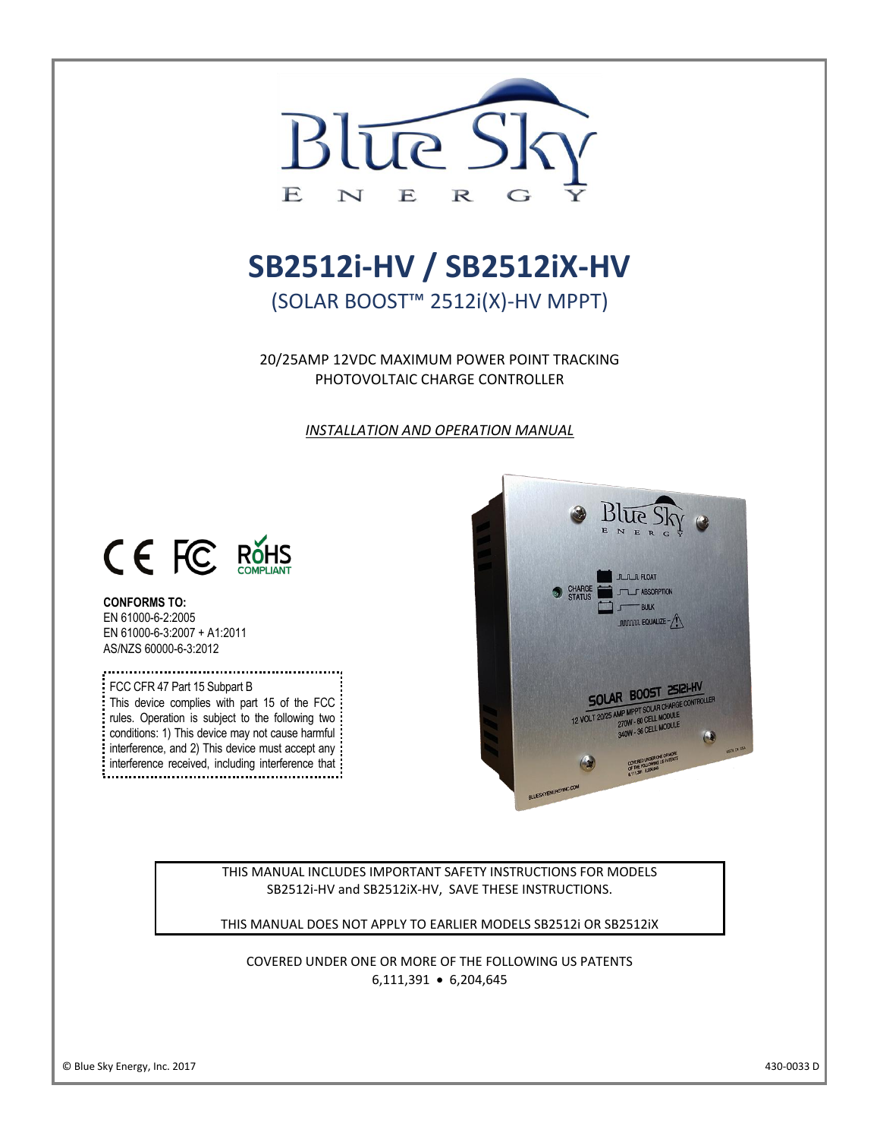

# **[SB2512i-HV /](https://www.altestore.com/store/charge-controllers/solar-charge-controllers/mppt-solar-charge-controllers/blue-sky-solar-charge-controllers-mppt/solar-boost-2512i-hv-mppt-solar-charge-controller-25a-12v-p10686/) SB2512iX-HV**

(SOLAR BOOST™ 2512i(X)-HV MPPT)

20/25AMP 12VDC MAXIMUM POWER POINT TRACKING PHOTOVOLTAIC CHARGE CONTROLLER

*INSTALLATION AND OPERATION MANUAL*



# **CONFORMS TO:**

I

EN 61000-6-2:2005 EN 61000-6-3:2007 + A1:2011 AS/NZS 60000-6-3:2012

FCC CFR 47 Part 15 Subpart B This device complies with part 15 of the FCC : rules. Operation is subject to the following two: conditions: 1) This device may not cause harmful interference, and 2) This device must accept any: interference received, including interference that : may cause undesired operations.



THIS MANUAL INCLUDES IMPORTANT SAFETY INSTRUCTIONS FOR MODELS SB2512i-HV and SB2512iX-HV, SAVE THESE INSTRUCTIONS.

THIS MANUAL DOES NOT APPLY TO EARLIER MODELS SB2512i OR SB2512iX

COVERED UNDER ONE OR MORE OF THE FOLLOWING US PATENTS 6,111,391 • 6,204,645

l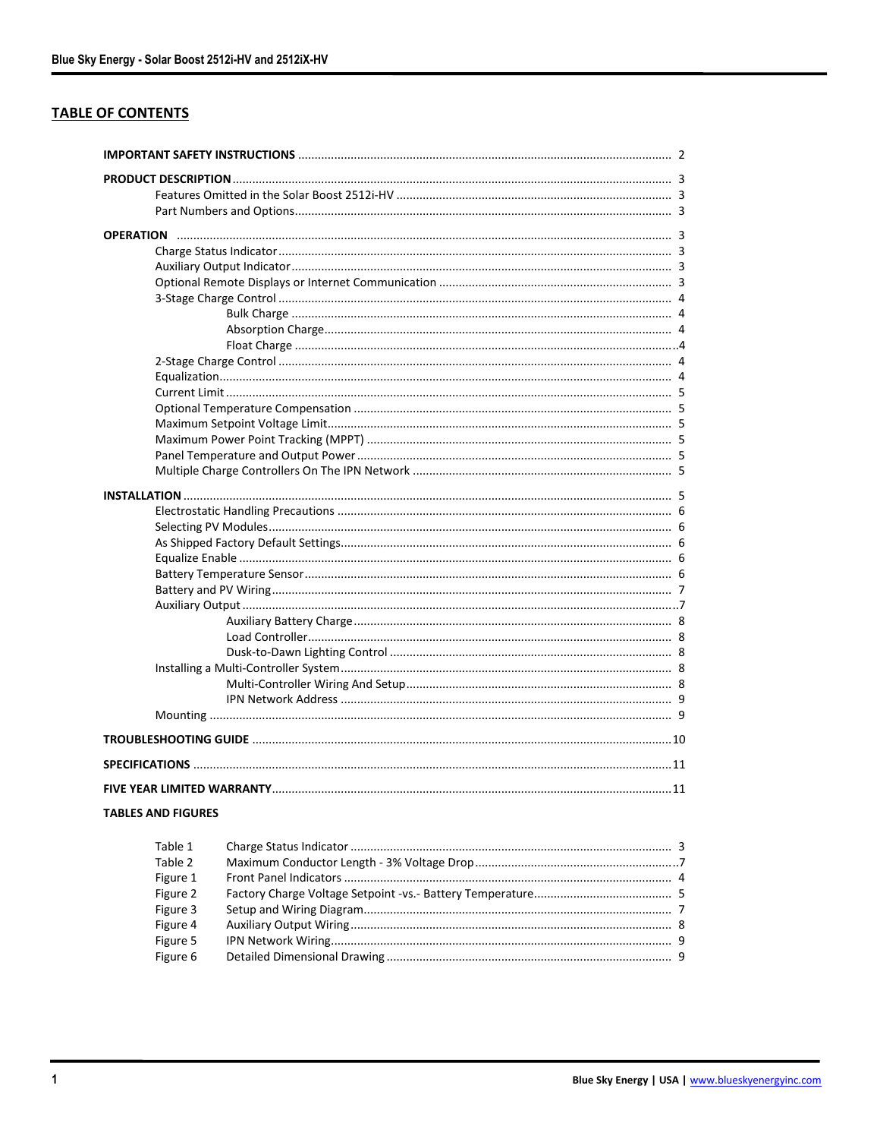# **TABLE OF CONTENTS**

| <b>TABLES AND FIGURES</b> |         |                                         |  |  |  |
|---------------------------|---------|-----------------------------------------|--|--|--|
|                           |         |                                         |  |  |  |
|                           | Tahle 1 | $\mathbf{a}$<br>Charge Status Indicator |  |  |  |

| Table 1  |  |
|----------|--|
| Table 2  |  |
| Figure 1 |  |
| Figure 2 |  |
| Figure 3 |  |
| Figure 4 |  |
| Figure 5 |  |
| Figure 6 |  |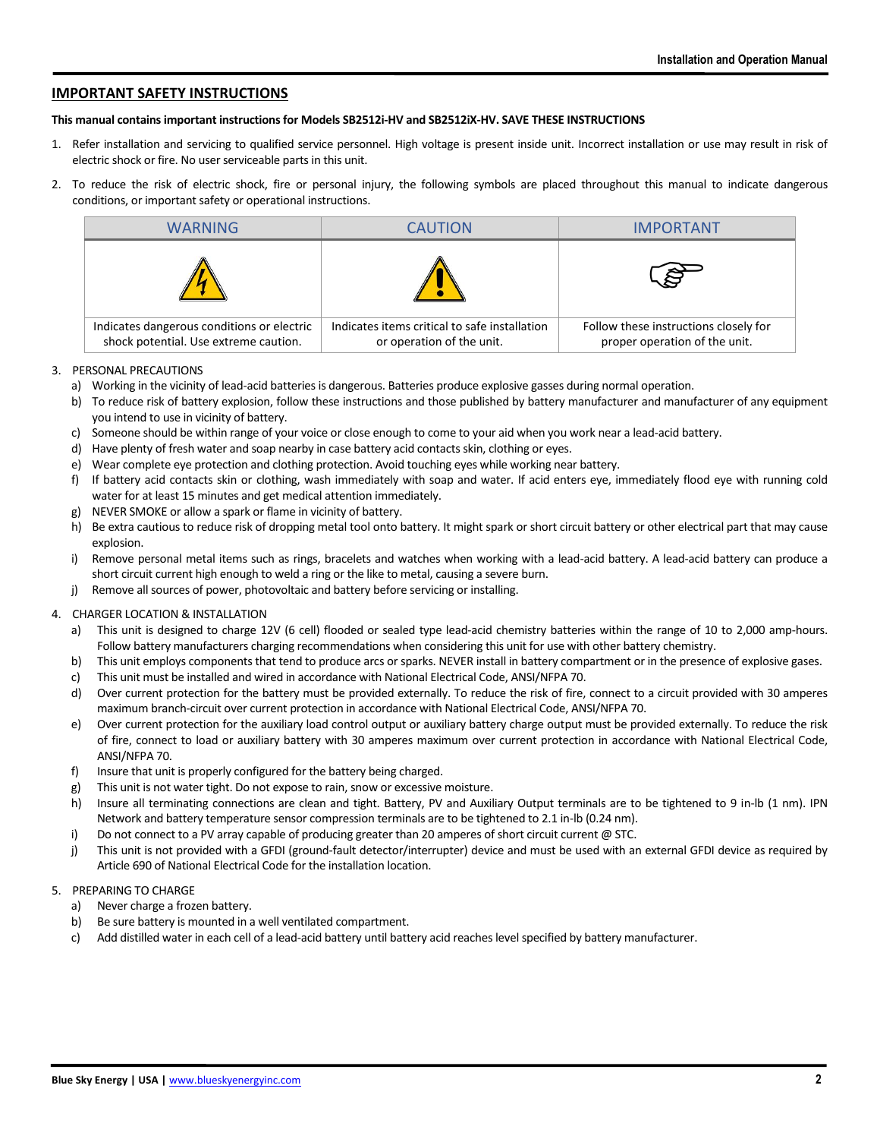# **IMPORTANT SAFETY INSTRUCTIONS**

#### **This manual contains important instructions for Models SB2512i-HV and SB2512iX-HV. SAVE THESE INSTRUCTIONS**

- 1. Refer installation and servicing to qualified service personnel. High voltage is present inside unit. Incorrect installation or use may result in risk of electric shock or fire. No user serviceable parts in this unit.
- 2. To reduce the risk of electric shock, fire or personal injury, the following symbols are placed throughout this manual to indicate dangerous conditions, or important safety or operational instructions.

| <b>WARNING</b>                                                                      | <b>CAUTION</b>                                                             | <b>IMPORTANT</b>                                                       |
|-------------------------------------------------------------------------------------|----------------------------------------------------------------------------|------------------------------------------------------------------------|
|                                                                                     |                                                                            | ි                                                                      |
| Indicates dangerous conditions or electric<br>shock potential. Use extreme caution. | Indicates items critical to safe installation<br>or operation of the unit. | Follow these instructions closely for<br>proper operation of the unit. |

#### 3. PERSONAL PRECAUTIONS

- a) Working in the vicinity of lead-acid batteries is dangerous. Batteries produce explosive gasses during normal operation.
- b) To reduce risk of battery explosion, follow these instructions and those published by battery manufacturer and manufacturer of any equipment you intend to use in vicinity of battery.
- c) Someone should be within range of your voice or close enough to come to your aid when you work near a lead-acid battery.
- d) Have plenty of fresh water and soap nearby in case battery acid contacts skin, clothing or eyes.
- e) Wear complete eye protection and clothing protection. Avoid touching eyes while working near battery.
- f) If battery acid contacts skin or clothing, wash immediately with soap and water. If acid enters eye, immediately flood eye with running cold water for at least 15 minutes and get medical attention immediately.
- g) NEVER SMOKE or allow a spark or flame in vicinity of battery.
- h) Be extra cautious to reduce risk of dropping metal tool onto battery. It might spark or short circuit battery or other electrical part that may cause explosion.
- i) Remove personal metal items such as rings, bracelets and watches when working with a lead-acid battery. A lead-acid battery can produce a short circuit current high enough to weld a ring or the like to metal, causing a severe burn.
- j) Remove all sources of power, photovoltaic and battery before servicing or installing.

# 4. CHARGER LOCATION & INSTALLATION

- a) This unit is designed to charge 12V (6 cell) flooded or sealed type lead-acid chemistry batteries within the range of 10 to 2,000 amp-hours. Follow battery manufacturers charging recommendations when considering this unit for use with other battery chemistry.
- b) This unit employs components that tend to produce arcs or sparks. NEVER install in battery compartment or in the presence of explosive gases.
- c) This unit must be installed and wired in accordance with National Electrical Code, ANSI/NFPA 70.
- d) Over current protection for the battery must be provided externally. To reduce the risk of fire, connect to a circuit provided with 30 amperes maximum branch-circuit over current protection in accordance with National Electrical Code, ANSI/NFPA 70.
- e) Over current protection for the auxiliary load control output or auxiliary battery charge output must be provided externally. To reduce the risk of fire, connect to load or auxiliary battery with 30 amperes maximum over current protection in accordance with National Electrical Code, ANSI/NFPA 70.
- f) Insure that unit is properly configured for the battery being charged.
- g) This unit is not water tight. Do not expose to rain, snow or excessive moisture.
- h) Insure all terminating connections are clean and tight. Battery, PV and Auxiliary Output terminals are to be tightened to 9 in-lb (1 nm). IPN Network and battery temperature sensor compression terminals are to be tightened to 2.1 in-lb (0.24 nm).
- i) Do not connect to a PV array capable of producing greater than 20 amperes of short circuit current @ STC.
- j) This unit is not provided with a GFDI (ground-fault detector/interrupter) device and must be used with an external GFDI device as required by Article 690 of National Electrical Code for the installation location.

# 5. PREPARING TO CHARGE

- a) Never charge a frozen battery.
- b) Be sure battery is mounted in a well ventilated compartment.
- c) Add distilled water in each cell of a lead-acid battery until battery acid reaches level specified by battery manufacturer.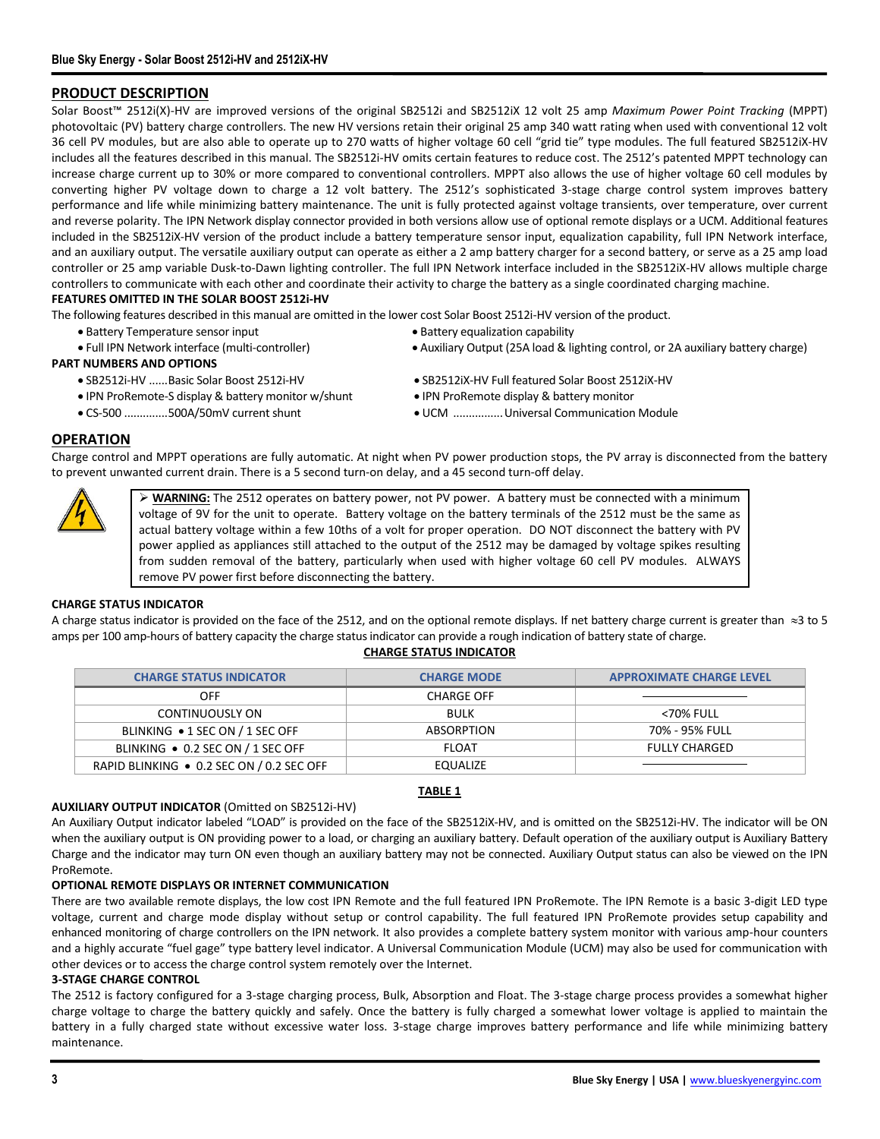# **PRODUCT DESCRIPTION**

Solar Boost<sup>™</sup> 2512i(X)-HV are improved versions of the original SB2512i and SB2512iX 12 volt 25 amp *Maximum Power Point Tracking* (MPPT) photovoltaic (PV) battery charge controllers. The new HV versions retain their original 25 amp 340 watt rating when used with conventional 12 volt 36 cell PV modules, but are also able to operate up to 270 watts of higher voltage 60 cell "grid tie" type modules. The full featured SB2512iX-HV includes all the features described in this manual. The SB2512i-HV omits certain features to reduce cost. The 2512's patented MPPT technology can increase charge current up to 30% or more compared to conventional controllers. MPPT also allows the use of higher voltage 60 cell modules by converting higher PV voltage down to charge a 12 volt battery. The 2512's sophisticated 3-stage charge control system improves battery performance and life while minimizing battery maintenance. The unit is fully protected against voltage transients, over temperature, over current and reverse polarity. The IPN Network display connector provided in both versions allow use of optional remote displays or a UCM. Additional features included in the SB2512iX-HV version of the product include a battery temperature sensor input, equalization capability, full IPN Network interface, and an auxiliary output. The versatile auxiliary output can operate as either a 2 amp battery charger for a second battery, or serve as a 25 amp load controller or 25 amp variable Dusk-to-Dawn lighting controller. The full IPN Network interface included in the SB2512iX-HV allows multiple charge controllers to communicate with each other and coordinate their activity to charge the battery as a single coordinated charging machine. **FEATURES OMITTED IN THE SOLAR BOOST 2512i-HV**

The following features described in this manual are omitted in the lower cost Solar Boost 2512i-HV version of the product.

- Battery Temperature sensor input Battery equalization capability
- 
- **PART NUMBERS AND OPTIONS**
	-
	- IPN ProRemote-S display & battery monitor w/shunt IPN ProRemote display & battery monitor
	-
- 
- Full IPN Network interface (multi-controller) Auxiliary Output (25A load & lighting control, or 2A auxiliary battery charge)
- SB2512i-HV ......Basic Solar Boost 2512i-HV SB2512iX-HV Full featured Solar Boost 2512iX-HV
	-
- CS-500 ..............500A/50mV current shunt UCM ................Universal Communication Module

# **OPERATION**

Charge control and MPPT operations are fully automatic. At night when PV power production stops, the PV array is disconnected from the battery to prevent unwanted current drain. There is a 5 second turn-on delay, and a 45 second turn-off delay.

➢ **WARNING:** The 2512 operates on battery power, not PV power. A battery must be connected with a minimum voltage of 9V for the unit to operate. Battery voltage on the battery terminals of the 2512 must be the same as actual battery voltage within a few 10ths of a volt for proper operation. DO NOT disconnect the battery with PV power applied as appliances still attached to the output of the 2512 may be damaged by voltage spikes resulting from sudden removal of the battery, particularly when used with higher voltage 60 cell PV modules. ALWAYS remove PV power first before disconnecting the battery.

#### **CHARGE STATUS INDICATOR**

A charge status indicator is provided on the face of the 2512, and on the optional remote displays. If net battery charge current is greater than  $\approx$ 3 to 5 amps per 100 amp-hours of battery capacity the charge status indicator can provide a rough indication of battery state of charge.

#### **CHARGE STATUS INDICATOR**

| <b>CHARGE STATUS INDICATOR</b>            | <b>CHARGE MODE</b> | <b>APPROXIMATE CHARGE LEVEL</b> |
|-------------------------------------------|--------------------|---------------------------------|
| OFF                                       | CHARGE OFF         |                                 |
| CONTINUOUSLY ON                           | <b>BULK</b>        | <70% FULL                       |
| BLINKING • 1 SEC ON / 1 SEC OFF           | <b>ABSORPTION</b>  | 70% - 95% FULL                  |
| BLINKING • 0.2 SEC ON / 1 SEC OFF         | <b>FLOAT</b>       | <b>FULLY CHARGED</b>            |
| RAPID BLINKING ● 0.2 SEC ON / 0.2 SEC OFF | EQUALIZE           |                                 |

# **TABLE 1**

# **AUXILIARY OUTPUT INDICATOR** (Omitted on SB2512i-HV)

An Auxiliary Output indicator labeled "LOAD" is provided on the face of the SB2512iX-HV, and is omitted on the SB2512i-HV. The indicator will be ON when the auxiliary output is ON providing power to a load, or charging an auxiliary battery. Default operation of the auxiliary output is Auxiliary Battery Charge and the indicator may turn ON even though an auxiliary battery may not be connected. Auxiliary Output status can also be viewed on the IPN ProRemote.

# **OPTIONAL REMOTE DISPLAYS OR INTERNET COMMUNICATION**

There are two available remote displays, the low cost IPN Remote and the full featured IPN ProRemote. The IPN Remote is a basic 3-digit LED type voltage, current and charge mode display without setup or control capability. The full featured IPN ProRemote provides setup capability and enhanced monitoring of charge controllers on the IPN network. It also provides a complete battery system monitor with various amp-hour counters and a highly accurate "fuel gage" type battery level indicator. A Universal Communication Module (UCM) may also be used for communication with other devices or to access the charge control system remotely over the Internet.

## **3-STAGE CHARGE CONTROL**

The 2512 is factory configured for a 3-stage charging process, Bulk, Absorption and Float. The 3-stage charge process provides a somewhat higher charge voltage to charge the battery quickly and safely. Once the battery is fully charged a somewhat lower voltage is applied to maintain the battery in a fully charged state without excessive water loss. 3-stage charge improves battery performance and life while minimizing battery maintenance.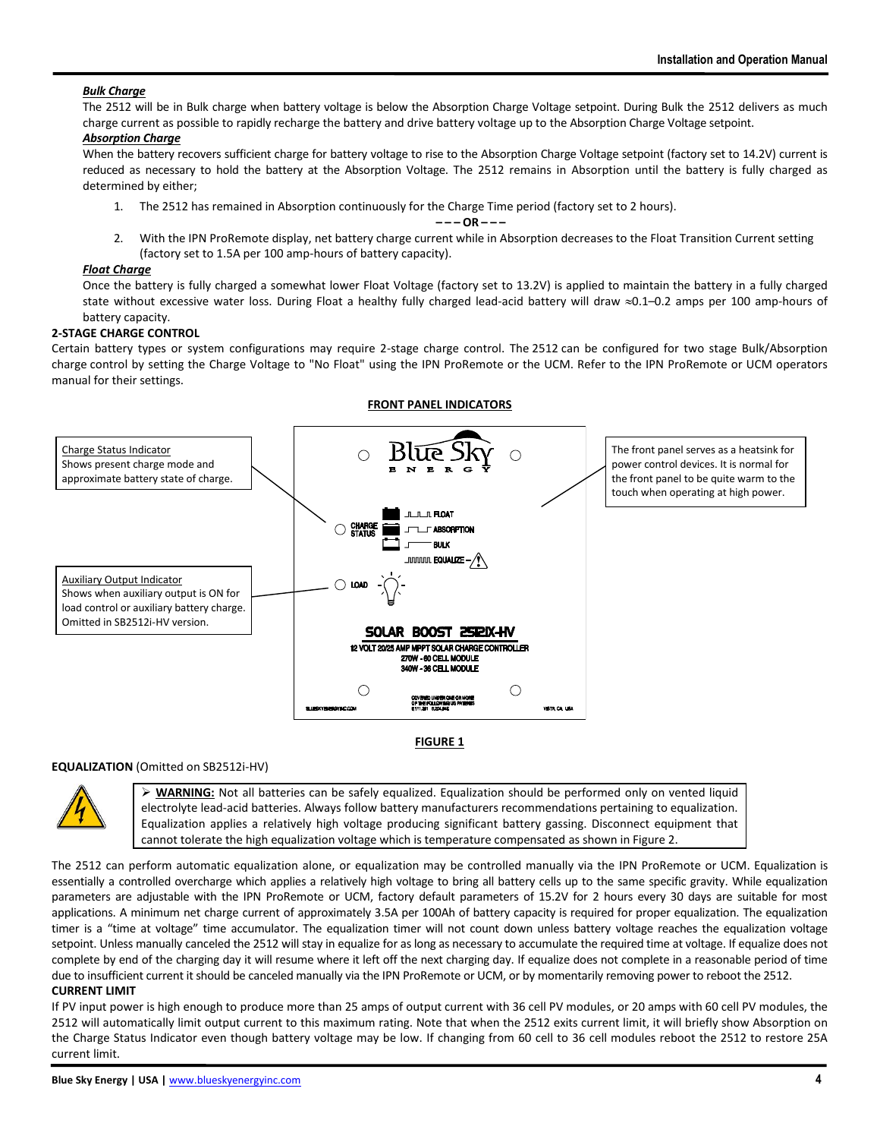# *Bulk Charge*

The 2512 will be in Bulk charge when battery voltage is below the Absorption Charge Voltage setpoint. During Bulk the 2512 delivers as much charge current as possible to rapidly recharge the battery and drive battery voltage up to the Absorption Charge Voltage setpoint.

# *Absorption Charge*

When the battery recovers sufficient charge for battery voltage to rise to the Absorption Charge Voltage setpoint (factory set to 14.2V) current is reduced as necessary to hold the battery at the Absorption Voltage. The 2512 remains in Absorption until the battery is fully charged as determined by either;

1. The 2512 has remained in Absorption continuously for the Charge Time period (factory set to 2 hours).

# **– – – OR – – –**

2. With the IPN ProRemote display, net battery charge current while in Absorption decreases to the Float Transition Current setting (factory set to 1.5A per 100 amp-hours of battery capacity).

## *Float Charge*

Once the battery is fully charged a somewhat lower Float Voltage (factory set to 13.2V) is applied to maintain the battery in a fully charged state without excessive water loss. During Float a healthy fully charged lead-acid battery will draw  $\approx$ 0.1–0.2 amps per 100 amp-hours of battery capacity.

# **2-STAGE CHARGE CONTROL**

Certain battery types or system configurations may require 2-stage charge control. The 2512 can be configured for two stage Bulk/Absorption charge control by setting the Charge Voltage to "No Float" using the IPN ProRemote or the UCM. Refer to the IPN ProRemote or UCM operators manual for their settings.

**FRONT PANEL INDICATORS**



#### **FIGURE 1**

# **EQUALIZATION** (Omitted on SB2512i-HV)



➢ **WARNING:** Not all batteries can be safely equalized. Equalization should be performed only on vented liquid electrolyte lead-acid batteries. Always follow battery manufacturers recommendations pertaining to equalization. Equalization applies a relatively high voltage producing significant battery gassing. Disconnect equipment that cannot tolerate the high equalization voltage which is temperature compensated as shown in Figure 2.

The 2512 can perform automatic equalization alone, or equalization may be controlled manually via the IPN ProRemote or UCM. Equalization is essentially a controlled overcharge which applies a relatively high voltage to bring all battery cells up to the same specific gravity. While equalization parameters are adjustable with the IPN ProRemote or UCM, factory default parameters of 15.2V for 2 hours every 30 days are suitable for most applications. A minimum net charge current of approximately 3.5A per 100Ah of battery capacity is required for proper equalization. The equalization timer is a "time at voltage" time accumulator. The equalization timer will not count down unless battery voltage reaches the equalization voltage setpoint. Unless manually canceled the 2512 will stay in equalize for as long as necessary to accumulate the required time at voltage. If equalize does not complete by end of the charging day it will resume where it left off the next charging day. If equalize does not complete in a reasonable period of time due to insufficient current it should be canceled manually via the IPN ProRemote or UCM, or by momentarily removing power to reboot the 2512. **CURRENT LIMIT**

If PV input power is high enough to produce more than 25 amps of output current with 36 cell PV modules, or 20 amps with 60 cell PV modules, the 2512 will automatically limit output current to this maximum rating. Note that when the 2512 exits current limit, it will briefly show Absorption on the Charge Status Indicator even though battery voltage may be low. If changing from 60 cell to 36 cell modules reboot the 2512 to restore 25A current limit.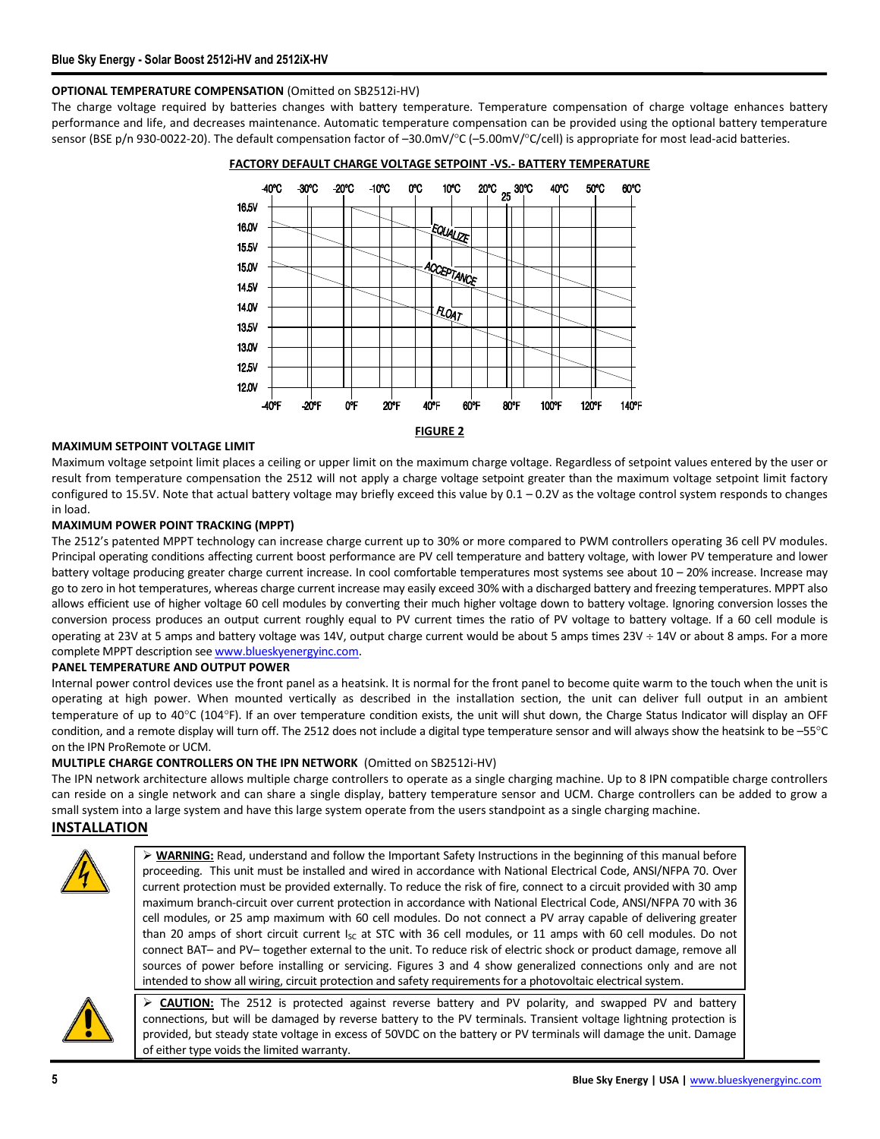# **OPTIONAL TEMPERATURE COMPENSATION** (Omitted on SB2512i-HV)

The charge voltage required by batteries changes with battery temperature. Temperature compensation of charge voltage enhances battery performance and life, and decreases maintenance. Automatic temperature compensation can be provided using the optional battery temperature sensor (BSE p/n 930-0022-20). The default compensation factor of  $-30.0$ mV/ $^{\circ}$ C ( $-5.00$ mV/ $^{\circ}$ C/cell) is appropriate for most lead-acid batteries.



**FACTORY DEFAULT CHARGE VOLTAGE SETPOINT -VS.- BATTERY TEMPERATURE**

#### **MAXIMUM SETPOINT VOLTAGE LIMIT**

Maximum voltage setpoint limit places a ceiling or upper limit on the maximum charge voltage. Regardless of setpoint values entered by the user or result from temperature compensation the 2512 will not apply a charge voltage setpoint greater than the maximum voltage setpoint limit factory configured to 15.5V. Note that actual battery voltage may briefly exceed this value by 0.1 – 0.2V as the voltage control system responds to changes in load.

#### **MAXIMUM POWER POINT TRACKING (MPPT)**

The 2512's patented MPPT technology can increase charge current up to 30% or more compared to PWM controllers operating 36 cell PV modules. Principal operating conditions affecting current boost performance are PV cell temperature and battery voltage, with lower PV temperature and lower battery voltage producing greater charge current increase. In cool comfortable temperatures most systems see about 10 - 20% increase. Increase may go to zero in hot temperatures, whereas charge current increase may easily exceed 30% with a discharged battery and freezing temperatures. MPPT also allows efficient use of higher voltage 60 cell modules by converting their much higher voltage down to battery voltage. Ignoring conversion losses the conversion process produces an output current roughly equal to PV current times the ratio of PV voltage to battery voltage. If a 60 cell module is operating at 23V at 5 amps and battery voltage was 14V, output charge current would be about 5 amps times  $23V \div 14V$  or about 8 amps. For a more complete MPPT description se[e www.blueskyenergyinc.com.](http://www.blueskyenergyinc.com/)

#### **PANEL TEMPERATURE AND OUTPUT POWER**

Internal power control devices use the front panel as a heatsink. It is normal for the front panel to become quite warm to the touch when the unit is operating at high power. When mounted vertically as described in the installation section, the unit can deliver full output in an ambient temperature of up to 40°C (104°F). If an over temperature condition exists, the unit will shut down, the Charge Status Indicator will display an OFF condition, and a remote display will turn off. The 2512 does not include a digital type temperature sensor and will always show the heatsink to be  $-55^{\circ}$ C on the IPN ProRemote or UCM.

#### **MULTIPLE CHARGE CONTROLLERS ON THE IPN NETWORK** (Omitted on SB2512i-HV)

The IPN network architecture allows multiple charge controllers to operate as a single charging machine. Up to 8 IPN compatible charge controllers can reside on a single network and can share a single display, battery temperature sensor and UCM. Charge controllers can be added to grow a small system into a large system and have this large system operate from the users standpoint as a single charging machine.

#### **INSTALLATION**



➢ **WARNING:** Read, understand and follow the Important Safety Instructions in the beginning of this manual before proceeding. This unit must be installed and wired in accordance with National Electrical Code, ANSI/NFPA 70. Over current protection must be provided externally. To reduce the risk of fire, connect to a circuit provided with 30 amp maximum branch-circuit over current protection in accordance with National Electrical Code, ANSI/NFPA 70 with 36 cell modules, or 25 amp maximum with 60 cell modules. Do not connect a PV array capable of delivering greater than 20 amps of short circuit current  $I_{SC}$  at STC with 36 cell modules, or 11 amps with 60 cell modules. Do not connect BAT– and PV– together external to the unit. To reduce risk of electric shock or product damage, remove all sources of power before installing or servicing. Figures 3 and 4 show generalized connections only and are not intended to show all wiring, circuit protection and safety requirements for a photovoltaic electrical system.



➢ **CAUTION:** The 2512 is protected against reverse battery and PV polarity, and swapped PV and battery connections, but will be damaged by reverse battery to the PV terminals. Transient voltage lightning protection is provided, but steady state voltage in excess of 50VDC on the battery or PV terminals will damage the unit. Damage of either type voids the limited warranty.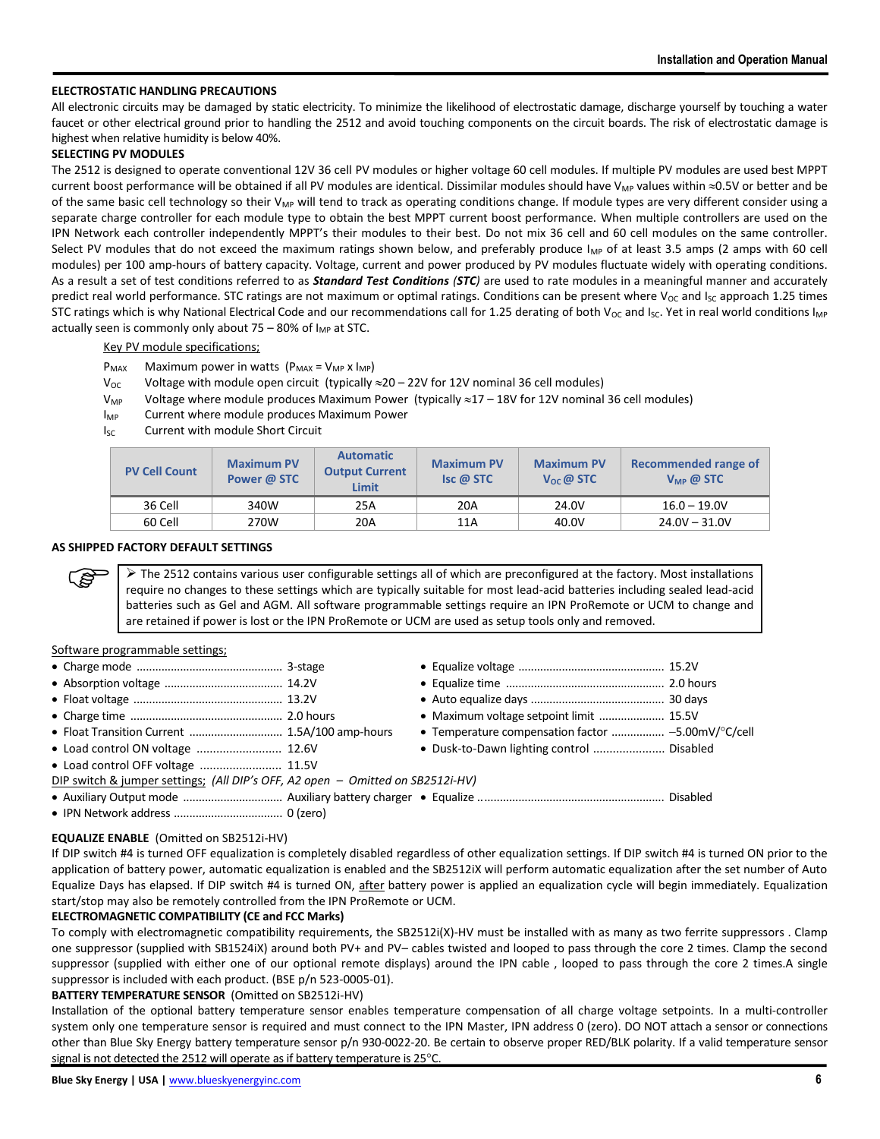# **ELECTROSTATIC HANDLING PRECAUTIONS**

All electronic circuits may be damaged by static electricity. To minimize the likelihood of electrostatic damage, discharge yourself by touching a water faucet or other electrical ground prior to handling the 2512 and avoid touching components on the circuit boards. The risk of electrostatic damage is highest when relative humidity is below 40%.

## **SELECTING PV MODULES**

The 2512 is designed to operate conventional 12V 36 cell PV modules or higher voltage 60 cell modules. If multiple PV modules are used best MPPT current boost performance will be obtained if all PV modules are identical. Dissimilar modules should have  $V_{MP}$  values within  $\approx$ 0.5V or better and be of the same basic cell technology so their  $V_{MP}$  will tend to track as operating conditions change. If module types are very different consider using a separate charge controller for each module type to obtain the best MPPT current boost performance. When multiple controllers are used on the IPN Network each controller independently MPPT's their modules to their best. Do not mix 36 cell and 60 cell modules on the same controller. Select PV modules that do not exceed the maximum ratings shown below, and preferably produce  $I_{MP}$  of at least 3.5 amps (2 amps with 60 cell modules) per 100 amp-hours of battery capacity. Voltage, current and power produced by PV modules fluctuate widely with operating conditions. As a result a set of test conditions referred to as *Standard Test Conditions (STC)* are used to rate modules in a meaningful manner and accurately predict real world performance. STC ratings are not maximum or optimal ratings. Conditions can be present where  $V_{0c}$  and  $I_{SC}$  approach 1.25 times STC ratings which is why National Electrical Code and our recommendations call for 1.25 derating of both  $V_{OC}$  and  $I_{SC}$ . Yet in real world conditions  $I_{MP}$ actually seen is commonly only about  $75 - 80\%$  of I<sub>MP</sub> at STC.

Key PV module specifications;

- $P_{MAX}$  Maximum power in watts  $(P_{MAX} = V_{MP} \times I_{MP})$
- $V_{\text{OC}}$  Voltage with module open circuit (typically  $\approx$  20 22V for 12V nominal 36 cell modules)
- $V_{MP}$  Voltage where module produces Maximum Power (typically  $\approx$  17 18V for 12V nominal 36 cell modules)
- I<sub>MP</sub> Current where module produces Maximum Power
- Isc Current with module Short Circuit

| <b>PV Cell Count</b> | <b>Maximum PV</b><br>Power @ STC | <b>Automatic</b><br><b>Output Current</b><br><b>Limit</b> | <b>Maximum PV</b><br>Isc @ STC | <b>Maximum PV</b><br>$V_{OC}$ @ STC | Recommended range of<br>$V_{MP}$ @ STC |
|----------------------|----------------------------------|-----------------------------------------------------------|--------------------------------|-------------------------------------|----------------------------------------|
| 36 Cell              | 340W                             | 25A                                                       | 20A                            | 24.0V                               | $16.0 - 19.0V$                         |
| 60 Cell              | 270W                             | 20A                                                       | 11A                            | 40.0V                               | $24.0V - 31.0V$                        |

#### **AS SHIPPED FACTORY DEFAULT SETTINGS**

 $\triangleright$  The 2512 contains various user configurable settings all of which are preconfigured at the factory. Most installations require no changes to these settings which are typically suitable for most lead-acid batteries including sealed lead-acid batteries such as Gel and AGM. All software programmable settings require an IPN ProRemote or UCM to change and are retained if power is lost or the IPN ProRemote or UCM are used as setup tools only and removed.

#### Software programmable settings;

ເອ

|                                                                                | • Maximum voltage setpoint limit  15.5V            |  |
|--------------------------------------------------------------------------------|----------------------------------------------------|--|
|                                                                                | • Temperature compensation factor  -5.00mV/°C/cell |  |
|                                                                                | • Dusk-to-Dawn lighting control  Disabled          |  |
| • Load control OFF voltage  11.5V                                              |                                                    |  |
| DIP switch & jumper settings; (All DIP's OFF, A2 open – Omitted on SB2512i-HV) |                                                    |  |
|                                                                                |                                                    |  |
|                                                                                |                                                    |  |

#### **EQUALIZE ENABLE** (Omitted on SB2512i-HV)

If DIP switch #4 is turned OFF equalization is completely disabled regardless of other equalization settings. If DIP switch #4 is turned ON prior to the application of battery power, automatic equalization is enabled and the SB2512iX will perform automatic equalization after the set number of Auto Equalize Days has elapsed. If DIP switch #4 is turned ON, after battery power is applied an equalization cycle will begin immediately. Equalization start/stop may also be remotely controlled from the IPN ProRemote or UCM.

#### **ELECTROMAGNETIC COMPATIBILITY (CE and FCC Marks)**

To comply with electromagnetic compatibility requirements, the SB2512i(X)-HV must be installed with as many as two ferrite suppressors . Clamp one suppressor (supplied with SB1524iX) around both PV+ and PV– cables twisted and looped to pass through the core 2 times. Clamp the second suppressor (supplied with either one of our optional remote displays) around the IPN cable , looped to pass through the core 2 times.A single suppressor is included with each product. (BSE p/n 523-0005-01).

# **BATTERY TEMPERATURE SENSOR** (Omitted on SB2512i-HV)

Installation of the optional battery temperature sensor enables temperature compensation of all charge voltage setpoints. In a multi-controller system only one temperature sensor is required and must connect to the IPN Master, IPN address 0 (zero). DO NOT attach a sensor or connections other than Blue Sky Energy battery temperature sensor p/n 930-0022-20. Be certain to observe proper RED/BLK polarity. If a valid temperature sensor signal is not detected the 2512 will operate as if battery temperature is 25°C.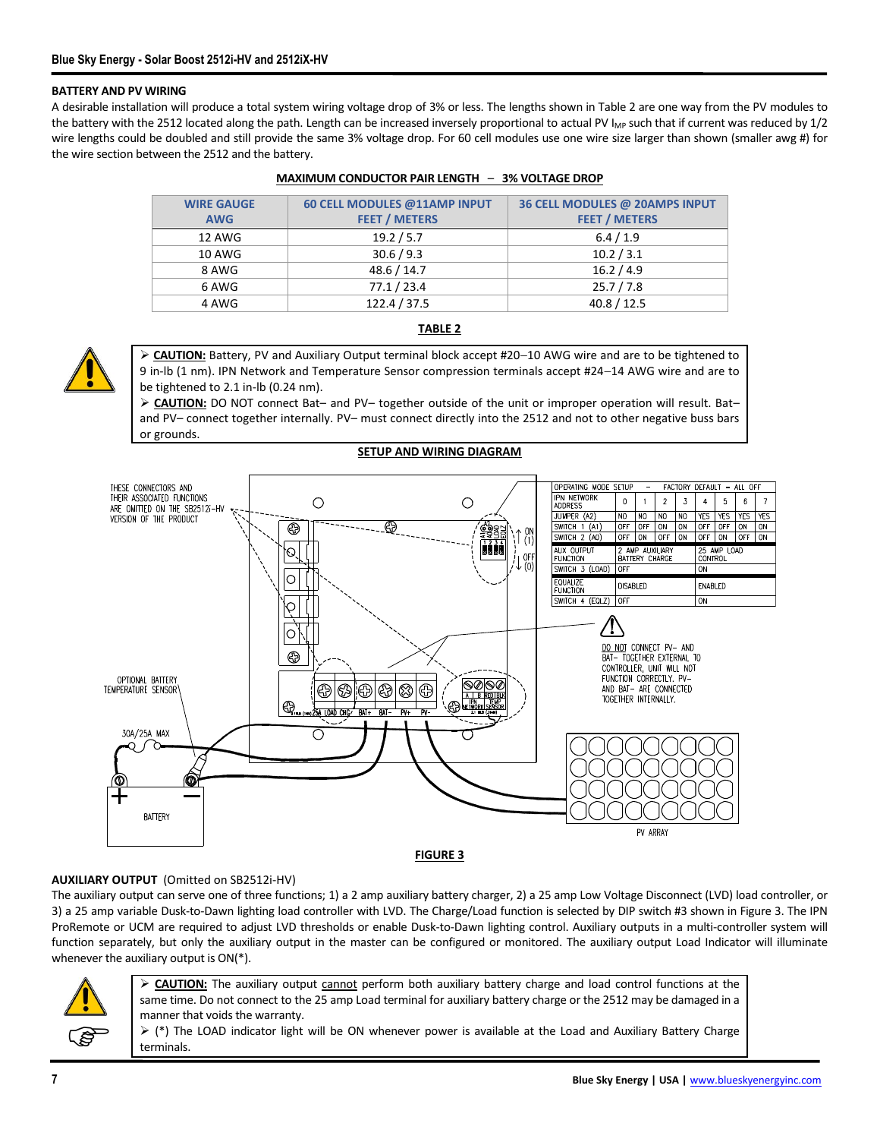# **BATTERY AND PV WIRING**

A desirable installation will produce a total system wiring voltage drop of 3% or less. The lengths shown in Table 2 are one way from the PV modules to the battery with the 2512 located along the path. Length can be increased inversely proportional to actual PV I<sub>MP</sub> such that if current was reduced by 1/2 wire lengths could be doubled and still provide the same 3% voltage drop. For 60 cell modules use one wire size larger than shown (smaller awg #) for the wire section between the 2512 and the battery.

| <b>WIRE GAUGE</b> | 60 CELL MODULES @11AMP INPUT | 36 CELL MODULES @ 20AMPS INPUT |
|-------------------|------------------------------|--------------------------------|
| <b>AWG</b>        | <b>FEET / METERS</b>         | <b>FEET / METERS</b>           |
| 12 AWG            | 19.2 / 5.7                   | 6.4 / 1.9                      |
| 10 AWG            | 30.6 / 9.3                   | 10.2 / 3.1                     |
| 8 AWG             | 48.6 / 14.7                  | 16.2 / 4.9                     |
| 6 AWG             | 77.1 / 23.4                  | 25.7 / 7.8                     |
| 4 AWG             | 122.4 / 37.5                 | 40.8 / 12.5                    |

#### **MAXIMUM CONDUCTOR PAIR LENGTH** – **3% VOLTAGE DROP**



# **TABLE 2**

➢ **CAUTION:** Battery, PV and Auxiliary Output terminal block accept #20−10 AWG wire and are to be tightened to 9 in-lb (1 nm). IPN Network and Temperature Sensor compression terminals accept #24−14 AWG wire and are to be tightened to 2.1 in-lb (0.24 nm).

➢ **CAUTION:** DO NOT connect Bat– and PV– together outside of the unit or improper operation will result. Bat– and PV– connect together internally. PV– must connect directly into the 2512 and not to other negative buss bars or grounds.

**SETUP AND WIRING DIAGRAM**



## **FIGURE 3**

# **AUXILIARY OUTPUT** (Omitted on SB2512i-HV)

The auxiliary output can serve one of three functions; 1) a 2 amp auxiliary battery charger, 2) a 25 amp Low Voltage Disconnect (LVD) load controller, or 3) a 25 amp variable Dusk-to-Dawn lighting load controller with LVD. The Charge/Load function is selected by DIP switch #3 shown in Figure 3. The IPN ProRemote or UCM are required to adjust LVD thresholds or enable Dusk-to-Dawn lighting control. Auxiliary outputs in a multi-controller system will function separately, but only the auxiliary output in the master can be configured or monitored. The auxiliary output Load Indicator will illuminate whenever the auxiliary output is ON(\*).



➢ **CAUTION:** The auxiliary output cannot perform both auxiliary battery charge and load control functions at the same time. Do not connect to the 25 amp Load terminal for auxiliary battery charge or the 2512 may be damaged in a manner that voids the warranty.

 $▶$  (\*) The LOAD indicator light will be ON whenever power is available at the Load and Auxiliary Battery Charge terminals.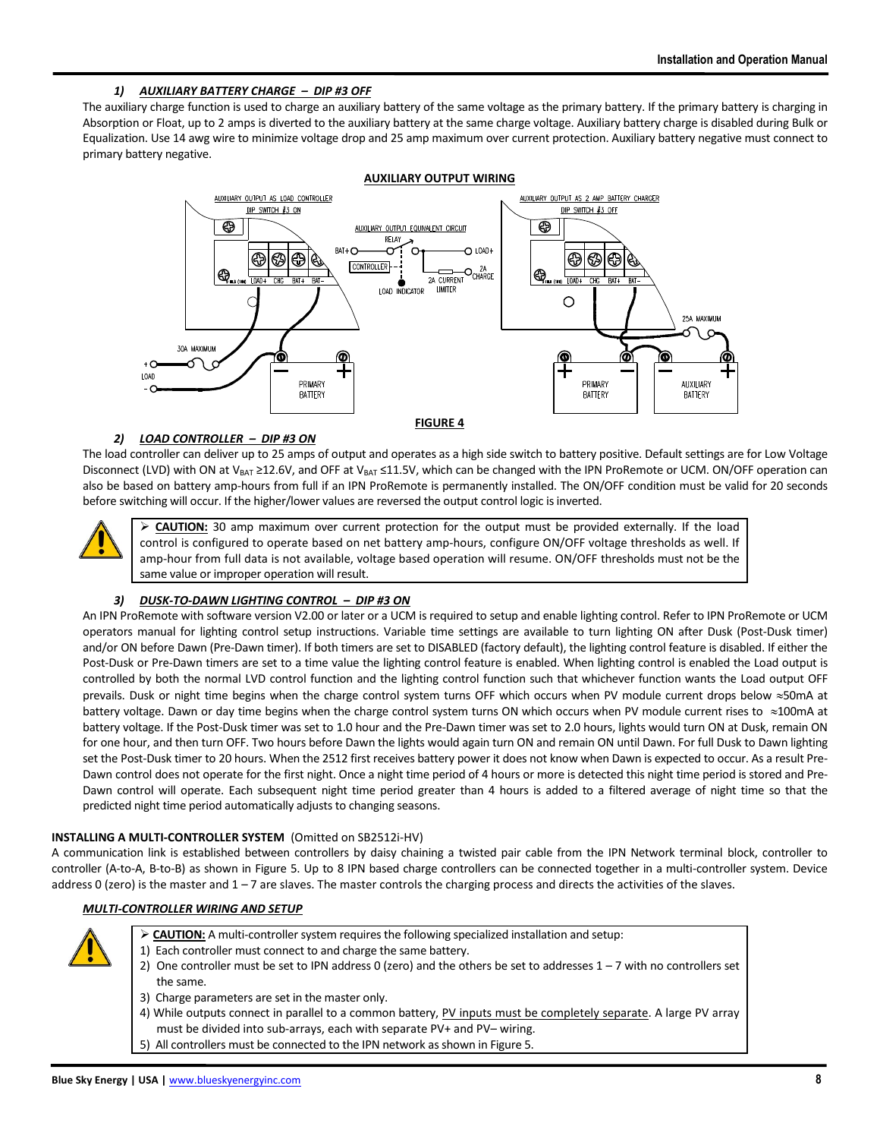# *1) AUXILIARY BATTERY CHARGE – DIP #3 OFF*

The auxiliary charge function is used to charge an auxiliary battery of the same voltage as the primary battery. If the primary battery is charging in Absorption or Float, up to 2 amps is diverted to the auxiliary battery at the same charge voltage. Auxiliary battery charge is disabled during Bulk or Equalization. Use 14 awg wire to minimize voltage drop and 25 amp maximum over current protection. Auxiliary battery negative must connect to primary battery negative.



# *2) LOAD CONTROLLER – DIP #3 ON*

The load controller can deliver up to 25 amps of output and operates as a high side switch to battery positive. Default settings are for Low Voltage Disconnect (LVD) with ON at V<sub>BAT</sub> ≥12.6V, and OFF at V<sub>BAT</sub> ≤11.5V, which can be changed with the IPN ProRemote or UCM. ON/OFF operation can also be based on battery amp-hours from full if an IPN ProRemote is permanently installed. The ON/OFF condition must be valid for 20 seconds before switching will occur. If the higher/lower values are reversed the output control logic is inverted.



➢ **CAUTION:** 30 amp maximum over current protection for the output must be provided externally. If the load control is configured to operate based on net battery amp-hours, configure ON/OFF voltage thresholds as well. If amp-hour from full data is not available, voltage based operation will resume. ON/OFF thresholds must not be the same value or improper operation will result.

# *3) DUSK-TO-DAWN LIGHTING CONTROL – DIP #3 ON*

An IPN ProRemote with software version V2.00 or later or a UCM is required to setup and enable lighting control. Refer to IPN ProRemote or UCM operators manual for lighting control setup instructions. Variable time settings are available to turn lighting ON after Dusk (Post-Dusk timer) and/or ON before Dawn (Pre-Dawn timer). If both timers are set to DISABLED (factory default), the lighting control feature is disabled. If either the Post-Dusk or Pre-Dawn timers are set to a time value the lighting control feature is enabled. When lighting control is enabled the Load output is controlled by both the normal LVD control function and the lighting control function such that whichever function wants the Load output OFF prevails. Dusk or night time begins when the charge control system turns OFF which occurs when PV module current drops below  $\approx$  50mA at battery voltage. Dawn or day time begins when the charge control system turns ON which occurs when PV module current rises to  $\approx$ 100mA at battery voltage. If the Post-Dusk timer was set to 1.0 hour and the Pre-Dawn timer was set to 2.0 hours, lights would turn ON at Dusk, remain ON for one hour, and then turn OFF. Two hours before Dawn the lights would again turn ON and remain ON until Dawn. For full Dusk to Dawn lighting set the Post-Dusk timer to 20 hours. When the 2512 first receives battery power it does not know when Dawn is expected to occur. As a result Pre-Dawn control does not operate for the first night. Once a night time period of 4 hours or more is detected this night time period is stored and Pre-Dawn control will operate. Each subsequent night time period greater than 4 hours is added to a filtered average of night time so that the predicted night time period automatically adjusts to changing seasons.

# **INSTALLING A MULTI-CONTROLLER SYSTEM** (Omitted on SB2512i-HV)

A communication link is established between controllers by daisy chaining a twisted pair cable from the IPN Network terminal block, controller to controller (A-to-A, B-to-B) as shown in Figure 5. Up to 8 IPN based charge controllers can be connected together in a multi-controller system. Device address 0 (zero) is the master and  $1 - 7$  are slaves. The master controls the charging process and directs the activities of the slaves.

# *MULTI-CONTROLLER WIRING AND SETUP*



- ➢ **CAUTION:** A multi-controller system requires the following specialized installation and setup:
- 1) Each controller must connect to and charge the same battery.
- 2) One controller must be set to IPN address 0 (zero) and the others be set to addresses  $1 7$  with no controllers set the same.
- 3) Charge parameters are set in the master only.
- 4) While outputs connect in parallel to a common battery, PV inputs must be completely separate. A large PV array must be divided into sub-arrays, each with separate PV+ and PV– wiring.
- 5) All controllers must be connected to the IPN network as shown in Figure 5.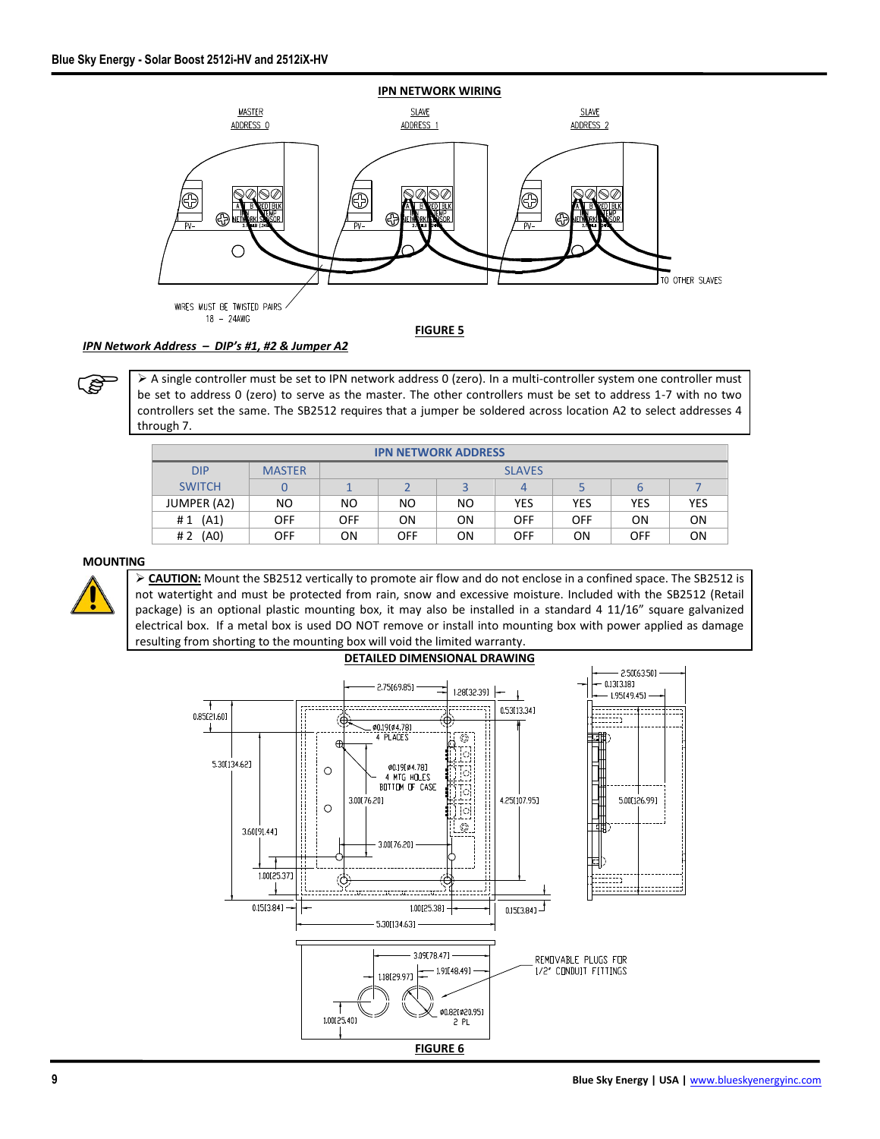

## *IPN Network Address – DIP's #1, #2 & Jumper A2*

➢ A single controller must be set to IPN network address 0 (zero). In a multi-controller system one controller must be set to address 0 (zero) to serve as the master. The other controllers must be set to address 1-7 with no two controllers set the same. The SB2512 requires that a jumper be soldered across location A2 to select addresses 4 through 7.

| <b>IPN NETWORK ADDRESS</b> |               |               |            |     |            |            |                |            |
|----------------------------|---------------|---------------|------------|-----|------------|------------|----------------|------------|
| <b>DIP</b>                 | <b>MASTER</b> | <b>SLAVES</b> |            |     |            |            |                |            |
| <b>SWITCH</b>              |               |               |            |     | 4          |            |                |            |
| JUMPER (A2)                | NO.           | NO.           | ΝO         | NO. | <b>YES</b> | <b>YES</b> | YES            | <b>YES</b> |
| (A1)<br>#1                 | <b>OFF</b>    | OFF           | ΟN         | ON  | <b>OFF</b> | <b>OFF</b> | 0 <sub>N</sub> | <b>ON</b>  |
| (A <sub>0</sub> )<br>#2    | <b>OFF</b>    | ΟN            | <b>OFF</b> | ON  | <b>OFF</b> | ΟN         | <b>OFF</b>     | <b>ON</b>  |

#### **MOUNTING**



ເອ

➢ **CAUTION:** Mount the SB2512 vertically to promote air flow and do not enclose in a confined space. The SB2512 is not watertight and must be protected from rain, snow and excessive moisture. Included with the SB2512 (Retail package) is an optional plastic mounting box, it may also be installed in a standard 4 11/16" square galvanized electrical box. If a metal box is used DO NOT remove or install into mounting box with power applied as damage resulting from shorting to the mounting box will void the limited warranty.

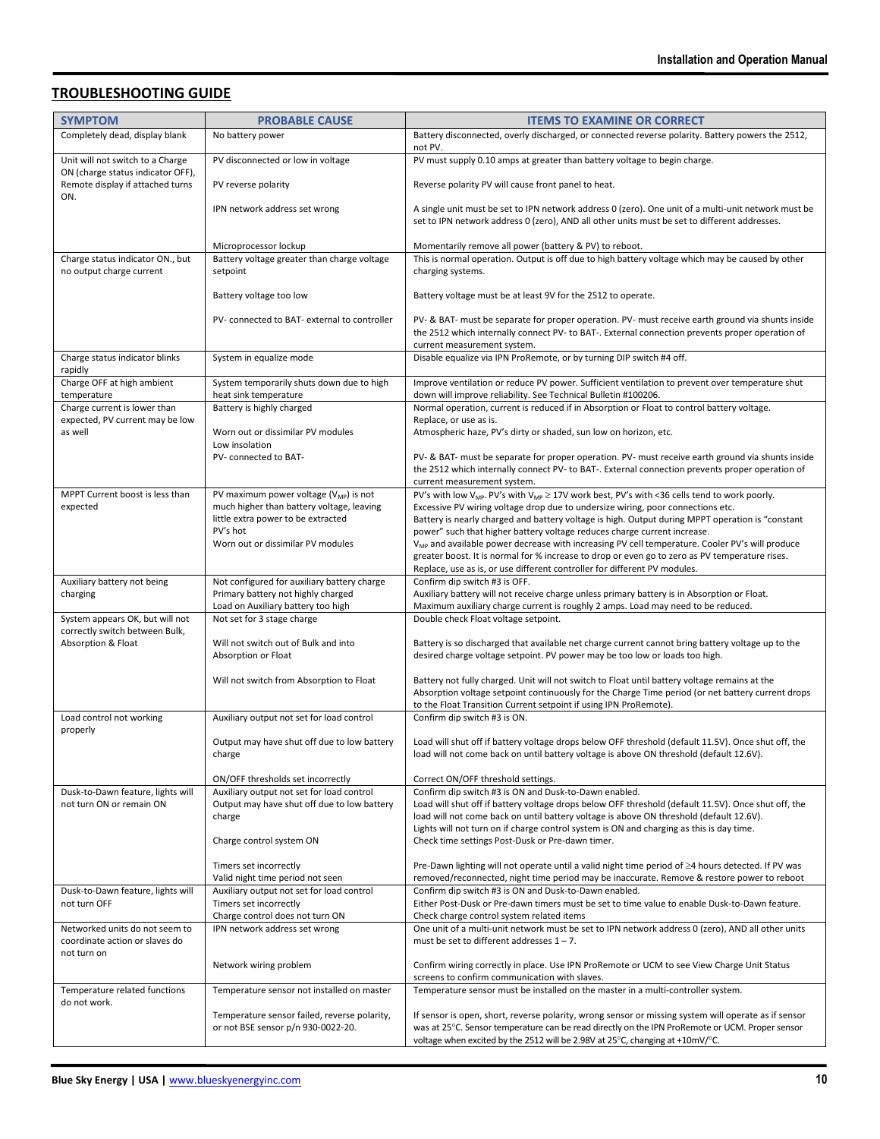# **TROUBLESHOOTING GUIDE**

| <b>SYMPTOM</b>                                                                    | <b>PROBABLE CAUSE</b>                                                                    | <b>ITEMS TO EXAMINE OR CORRECT</b>                                                                                                                                                                                                  |  |  |
|-----------------------------------------------------------------------------------|------------------------------------------------------------------------------------------|-------------------------------------------------------------------------------------------------------------------------------------------------------------------------------------------------------------------------------------|--|--|
| Completely dead, display blank                                                    | No battery power                                                                         | Battery disconnected, overly discharged, or connected reverse polarity. Battery powers the 2512,<br>not PV.                                                                                                                         |  |  |
| Unit will not switch to a Charge                                                  | PV disconnected or low in voltage                                                        | PV must supply 0.10 amps at greater than battery voltage to begin charge.                                                                                                                                                           |  |  |
| ON (charge status indicator OFF),<br>Remote display if attached turns<br>ON.      | PV reverse polarity                                                                      | Reverse polarity PV will cause front panel to heat.                                                                                                                                                                                 |  |  |
|                                                                                   | IPN network address set wrong                                                            | A single unit must be set to IPN network address 0 (zero). One unit of a multi-unit network must be<br>set to IPN network address 0 (zero), AND all other units must be set to different addresses.                                 |  |  |
|                                                                                   | Microprocessor lockup                                                                    | Momentarily remove all power (battery & PV) to reboot.                                                                                                                                                                              |  |  |
| Charge status indicator ON., but<br>no output charge current                      | Battery voltage greater than charge voltage<br>setpoint                                  | This is normal operation. Output is off due to high battery voltage which may be caused by other<br>charging systems.                                                                                                               |  |  |
|                                                                                   | Battery voltage too low                                                                  | Battery voltage must be at least 9V for the 2512 to operate.                                                                                                                                                                        |  |  |
|                                                                                   | PV- connected to BAT- external to controller                                             |                                                                                                                                                                                                                                     |  |  |
|                                                                                   |                                                                                          | PV- & BAT- must be separate for proper operation. PV- must receive earth ground via shunts inside<br>the 2512 which internally connect PV- to BAT-. External connection prevents proper operation of<br>current measurement system. |  |  |
| Charge status indicator blinks                                                    | System in equalize mode                                                                  | Disable equalize via IPN ProRemote, or by turning DIP switch #4 off.                                                                                                                                                                |  |  |
| rapidly<br>Charge OFF at high ambient<br>temperature                              | System temporarily shuts down due to high<br>heat sink temperature                       | Improve ventilation or reduce PV power. Sufficient ventilation to prevent over temperature shut<br>down will improve reliability. See Technical Bulletin #100206.                                                                   |  |  |
| Charge current is lower than                                                      | Battery is highly charged                                                                | Normal operation, current is reduced if in Absorption or Float to control battery voltage.                                                                                                                                          |  |  |
| expected, PV current may be low<br>as well                                        | Worn out or dissimilar PV modules                                                        | Replace, or use as is.<br>Atmospheric haze, PV's dirty or shaded, sun low on horizon, etc.                                                                                                                                          |  |  |
|                                                                                   | Low insolation<br>PV- connected to BAT-                                                  |                                                                                                                                                                                                                                     |  |  |
|                                                                                   |                                                                                          | PV- & BAT- must be separate for proper operation. PV- must receive earth ground via shunts inside<br>the 2512 which internally connect PV- to BAT-. External connection prevents proper operation of                                |  |  |
| MPPT Current boost is less than                                                   | PV maximum power voltage $(V_{MP})$ is not                                               | current measurement system.<br>PV's with low V <sub>MP</sub> . PV's with V <sub>MP</sub> $\geq$ 17V work best, PV's with <36 cells tend to work poorly.                                                                             |  |  |
| expected                                                                          | much higher than battery voltage, leaving                                                | Excessive PV wiring voltage drop due to undersize wiring, poor connections etc.                                                                                                                                                     |  |  |
|                                                                                   | little extra power to be extracted<br>PV's hot                                           | Battery is nearly charged and battery voltage is high. Output during MPPT operation is "constant<br>power" such that higher battery voltage reduces charge current increase.                                                        |  |  |
|                                                                                   | Worn out or dissimilar PV modules                                                        | V <sub>MP</sub> and available power decrease with increasing PV cell temperature. Cooler PV's will produce                                                                                                                          |  |  |
|                                                                                   |                                                                                          | greater boost. It is normal for % increase to drop or even go to zero as PV temperature rises.<br>Replace, use as is, or use different controller for different PV modules.                                                         |  |  |
| Auxiliary battery not being                                                       | Not configured for auxiliary battery charge                                              | Confirm dip switch #3 is OFF.                                                                                                                                                                                                       |  |  |
| charging                                                                          | Primary battery not highly charged<br>Load on Auxiliary battery too high                 | Auxiliary battery will not receive charge unless primary battery is in Absorption or Float.<br>Maximum auxiliary charge current is roughly 2 amps. Load may need to be reduced.                                                     |  |  |
| System appears OK, but will not<br>correctly switch between Bulk,                 | Not set for 3 stage charge                                                               | Double check Float voltage setpoint.                                                                                                                                                                                                |  |  |
| Will not switch out of Bulk and into<br>Absorption & Float<br>Absorption or Float |                                                                                          | Battery is so discharged that available net charge current cannot bring battery voltage up to the<br>desired charge voltage setpoint. PV power may be too low or loads too high.                                                    |  |  |
|                                                                                   | Will not switch from Absorption to Float                                                 | Battery not fully charged. Unit will not switch to Float until battery voltage remains at the<br>Absorption voltage setpoint continuously for the Charge Time period (or net battery current drops                                  |  |  |
| Load control not working                                                          | Auxiliary output not set for load control                                                | to the Float Transition Current setpoint if using IPN ProRemote).<br>Confirm dip switch #3 is ON.                                                                                                                                   |  |  |
| properly                                                                          |                                                                                          |                                                                                                                                                                                                                                     |  |  |
|                                                                                   | Output may have shut off due to low battery<br>charge                                    | Load will shut off if battery voltage drops below OFF threshold (default 11.5V). Once shut off, the<br>load will not come back on until battery voltage is above ON threshold (default 12.6V).                                      |  |  |
|                                                                                   | ON/OFF thresholds set incorrectly                                                        | Correct ON/OFF threshold settings.                                                                                                                                                                                                  |  |  |
| Dusk-to-Dawn feature, lights will<br>not turn ON or remain ON                     | Auxiliary output not set for load control<br>Output may have shut off due to low battery | Confirm dip switch #3 is ON and Dusk-to-Dawn enabled.<br>Load will shut off if battery voltage drops below OFF threshold (default 11.5V). Once shut off, the                                                                        |  |  |
|                                                                                   | charge                                                                                   | load will not come back on until battery voltage is above ON threshold (default 12.6V).                                                                                                                                             |  |  |
|                                                                                   | Charge control system ON                                                                 | Lights will not turn on if charge control system is ON and charging as this is day time.<br>Check time settings Post-Dusk or Pre-dawn timer.                                                                                        |  |  |
|                                                                                   | Timers set incorrectly<br>Valid night time period not seen                               | Pre-Dawn lighting will not operate until a valid night time period of ≥4 hours detected. If PV was<br>removed/reconnected, night time period may be inaccurate. Remove & restore power to reboot                                    |  |  |
| Dusk-to-Dawn feature, lights will                                                 | Auxiliary output not set for load control                                                | Confirm dip switch #3 is ON and Dusk-to-Dawn enabled.                                                                                                                                                                               |  |  |
| not turn OFF                                                                      | Timers set incorrectly<br>Charge control does not turn ON                                | Either Post-Dusk or Pre-dawn timers must be set to time value to enable Dusk-to-Dawn feature.<br>Check charge control system related items                                                                                          |  |  |
| Networked units do not seem to                                                    | IPN network address set wrong                                                            | One unit of a multi-unit network must be set to IPN network address 0 (zero), AND all other units                                                                                                                                   |  |  |
| coordinate action or slaves do<br>not turn on                                     |                                                                                          | must be set to different addresses $1 - 7$ .                                                                                                                                                                                        |  |  |
|                                                                                   | Network wiring problem                                                                   | Confirm wiring correctly in place. Use IPN ProRemote or UCM to see View Charge Unit Status<br>screens to confirm communication with slaves.                                                                                         |  |  |
| Temperature related functions<br>do not work.                                     | Temperature sensor not installed on master                                               | Temperature sensor must be installed on the master in a multi-controller system.                                                                                                                                                    |  |  |
|                                                                                   | Temperature sensor failed, reverse polarity,<br>or not BSE sensor p/n 930-0022-20.       | If sensor is open, short, reverse polarity, wrong sensor or missing system will operate as if sensor<br>was at 25°C. Sensor temperature can be read directly on the IPN ProRemote or UCM. Proper sensor                             |  |  |
|                                                                                   |                                                                                          | voltage when excited by the 2512 will be 2.98V at 25°C, changing at +10mV/°C.                                                                                                                                                       |  |  |